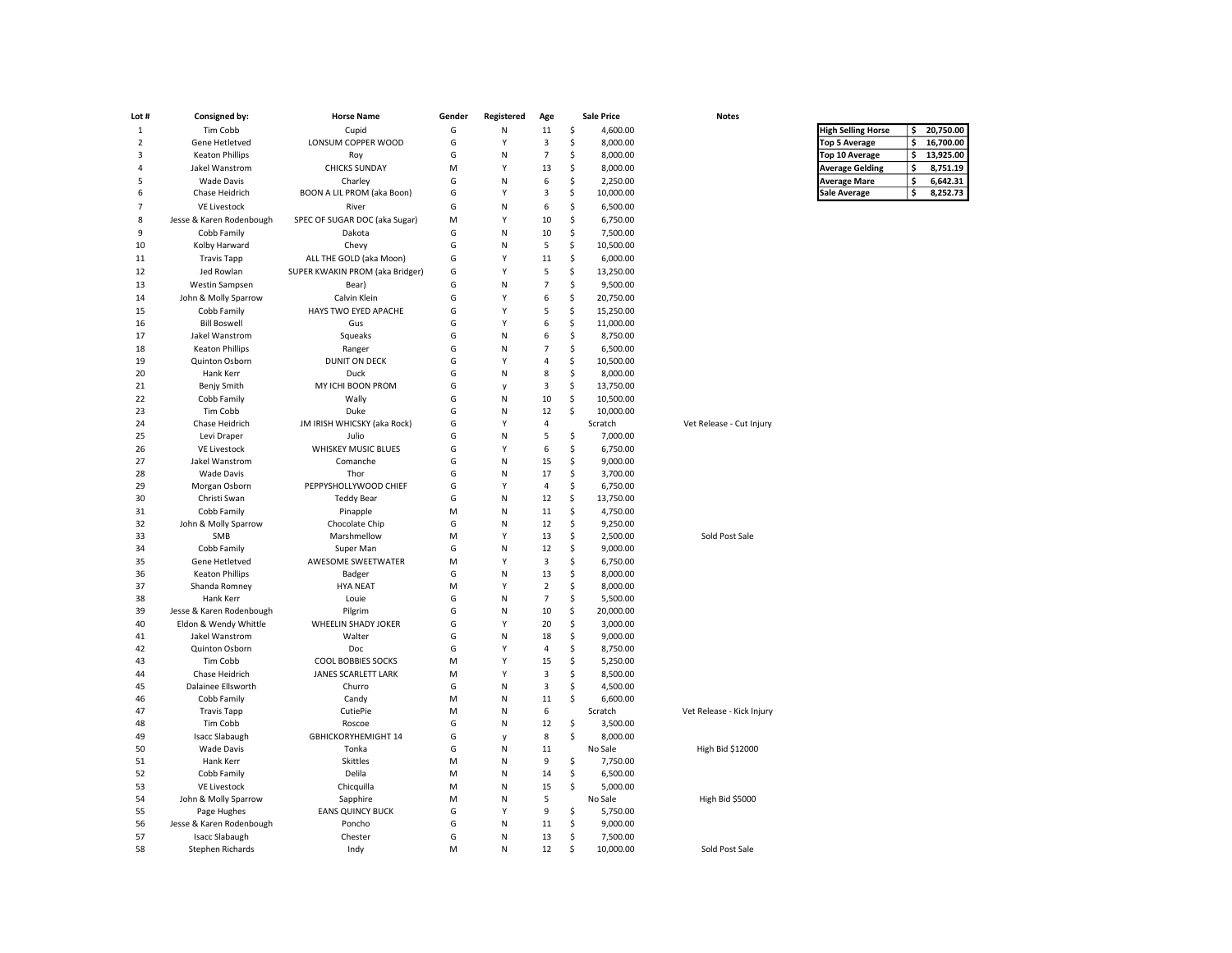| Lot #          | Consigned by:                           | <b>Horse Name</b>               | Gender | Registered   | Age            |          | <b>Sale Price</b>    | <b>Notes</b>              |                           |    |           |
|----------------|-----------------------------------------|---------------------------------|--------|--------------|----------------|----------|----------------------|---------------------------|---------------------------|----|-----------|
| $\mathbf{1}$   | Tim Cobb                                | Cupid                           | G      | ${\sf N}$    | $11\,$         | \$       | 4,600.00             |                           | <b>High Selling Horse</b> | \$ | 20,750.00 |
| $\overline{2}$ | Gene Hetletved                          | LONSUM COPPER WOOD              | G      | Y            | 3              | \$       | 8,000.00             |                           | <b>Top 5 Average</b>      | \$ | 16,700.00 |
| 3              | <b>Keaton Phillips</b>                  | Roy                             | G      | ${\sf N}$    | $\overline{7}$ | \$       | 8,000.00             |                           | Top 10 Average            | \$ | 13,925.00 |
| $\Delta$       | Jakel Wanstrom                          | <b>CHICKS SUNDAY</b>            | M      | Y            | 13             | \$       | 8,000.00             |                           | <b>Average Gelding</b>    | \$ | 8,751.19  |
| 5              | <b>Wade Davis</b>                       | Charley                         | G      | N            | 6              | \$       | 2,250.00             |                           | <b>Average Mare</b>       | \$ | 6,642.31  |
| 6              | Chase Heidrich                          | BOON A LIL PROM (aka Boon)      | G      | Y            | 3              | \$       | 10,000.00            |                           | <b>Sale Average</b>       | \$ | 8,252.73  |
| $\overline{7}$ | <b>VE Livestock</b>                     | River                           | G      | N            | 6              | \$       | 6,500.00             |                           |                           |    |           |
| 8              | Jesse & Karen Rodenbough                | SPEC OF SUGAR DOC (aka Sugar)   | M      | Y            | 10             | \$       | 6,750.00             |                           |                           |    |           |
| 9              | Cobb Family                             | Dakota                          | G      | N            | 10             | \$       | 7,500.00             |                           |                           |    |           |
| 10             | Kolby Harward                           | Chevy                           | G      | N            | 5              | \$       | 10,500.00            |                           |                           |    |           |
| 11             | <b>Travis Tapp</b>                      | ALL THE GOLD (aka Moon)         | G      | Y            | 11             | \$       | 6,000.00             |                           |                           |    |           |
| 12             | Jed Rowlan                              | SUPER KWAKIN PROM (aka Bridger) | G      | Y            | 5              | \$       | 13,250.00            |                           |                           |    |           |
| 13             | Westin Sampsen                          | Bear)                           | G      | N            | $\overline{7}$ | \$       | 9,500.00             |                           |                           |    |           |
| 14             | John & Molly Sparrow                    | Calvin Klein                    | G      | Y            | 6              | \$       | 20,750.00            |                           |                           |    |           |
| 15             | Cobb Family                             | HAYS TWO EYED APACHE            | G      | Y            | 5              | $\sf S$  | 15,250.00            |                           |                           |    |           |
| 16             | <b>Bill Boswell</b>                     | Gus                             | G      | Y            | 6              | \$       | 11,000.00            |                           |                           |    |           |
| 17             | Jakel Wanstrom                          | Squeaks                         | G      | N            | 6              | \$       | 8,750.00             |                           |                           |    |           |
| 18             | <b>Keaton Phillips</b>                  | Ranger                          | G      | N            | $\overline{7}$ | Ś        | 6,500.00             |                           |                           |    |           |
| 19             | Quinton Osborn                          | DUNIT ON DECK                   | G      | Y            | 4              | \$       | 10,500.00            |                           |                           |    |           |
| 20             | Hank Kerr                               | Duck                            | G      | N            | 8              | Ś        | 8,000.00             |                           |                           |    |           |
| 21             | Benjy Smith                             | MY ICHI BOON PROM               | G      | y            | 3              | \$       | 13,750.00            |                           |                           |    |           |
| 22             | Cobb Family                             | Wally                           | G      | N            | 10             | \$       | 10,500.00            |                           |                           |    |           |
| 23             | Tim Cobb                                | Duke                            | G      | N            | 12             | $\sf S$  | 10,000.00            |                           |                           |    |           |
| 24             | Chase Heidrich                          | JM IRISH WHICSKY (aka Rock)     | G      | Y            | 4              |          | Scratch              | Vet Release - Cut Injury  |                           |    |           |
| 25             | Levi Draper                             | Julio                           | G      | N            | 5              | Ś        | 7,000.00             |                           |                           |    |           |
| 26             | <b>VE Livestock</b>                     | <b>WHISKEY MUSIC BLUES</b>      | G      | Y            | 6              | \$       | 6,750.00             |                           |                           |    |           |
| 27             | Jakel Wanstrom                          | Comanche                        | G      | N            | 15             | \$       | 9,000.00             |                           |                           |    |           |
| 28             | <b>Wade Davis</b>                       | Thor                            | G      | N            | 17             | Ś        | 3,700.00             |                           |                           |    |           |
| 29             | Morgan Osborn                           | PEPPYSHOLLYWOOD CHIEF           | G      | Y            | $\overline{4}$ | \$       | 6,750.00             |                           |                           |    |           |
| 30             | Christi Swan                            | <b>Teddy Bear</b>               | G      | N            | 12             | \$       | 13,750.00            |                           |                           |    |           |
| 31             | Cobb Family                             | Pinapple                        | M      | N            | 11             | \$       | 4,750.00             |                           |                           |    |           |
| 32             | John & Molly Sparrow                    | Chocolate Chip                  | G      | N            | 12             | \$       | 9,250.00             |                           |                           |    |           |
| 33             | SMB                                     | Marshmellow                     | M      | Y            | 13             | \$       | 2,500.00             | Sold Post Sale            |                           |    |           |
| 34             | Cobb Family                             | Super Man                       | G      | $\mathsf{N}$ | 12             | \$       | 9,000.00             |                           |                           |    |           |
| 35             | Gene Hetletved                          | AWESOME SWEETWATER              | M      | Y            | 3              | \$       | 6,750.00             |                           |                           |    |           |
| 36             | <b>Keaton Phillips</b>                  | Badger                          | G      | $\mathsf{N}$ | 13             | \$       | 8,000.00             |                           |                           |    |           |
| 37             | Shanda Romney                           | <b>HYA NEAT</b>                 | M      | Y            | $\overline{2}$ | \$       | 8,000.00             |                           |                           |    |           |
| 38             | Hank Kerr                               | Louie                           | G      | N            | $\overline{7}$ | \$       | 5,500.00             |                           |                           |    |           |
| 39             | Jesse & Karen Rodenbough                | Pilgrim                         | G      | N<br>Y       | 10             | \$       | 20,000.00            |                           |                           |    |           |
| 40<br>41       | Eldon & Wendy Whittle<br>Jakel Wanstrom | WHEELIN SHADY JOKER<br>Walter   | G<br>G | N            | 20<br>18       | \$<br>\$ | 3,000.00             |                           |                           |    |           |
| 42             | Quinton Osborn                          | Doc                             | G      | Y            | $\overline{4}$ | \$       | 9,000.00<br>8,750.00 |                           |                           |    |           |
| 43             | Tim Cobb                                | COOL BOBBIES SOCKS              | M      | Y            | 15             | \$       | 5,250.00             |                           |                           |    |           |
| 44             | Chase Heidrich                          | JANES SCARLETT LARK             | M      | Y            | 3              | \$       | 8,500.00             |                           |                           |    |           |
| 45             | Dalainee Ellsworth                      | Churro                          | G      | N            | 3              | \$       | 4,500.00             |                           |                           |    |           |
| 46             | Cobb Family                             | Candy                           | M      | N            | 11             | \$       | 6,600.00             |                           |                           |    |           |
| 47             | <b>Travis Tapp</b>                      | CutiePie                        | M      | $\mathsf{N}$ | 6              |          | Scratch              | Vet Release - Kick Injury |                           |    |           |
| 48             | Tim Cobb                                | Roscoe                          | G      | N            | 12             | \$       | 3,500.00             |                           |                           |    |           |
| 49             | <b>Isacc Slabaugh</b>                   | GBHICKORYHEMIGHT 14             | G      | V            | 8              | \$       | 8,000.00             |                           |                           |    |           |
| 50             | <b>Wade Davis</b>                       | Tonka                           | G      | N            | 11             |          | No Sale              | High Bid \$12000          |                           |    |           |
| 51             | Hank Kerr                               | Skittles                        | M      | N            | 9              | \$       | 7,750.00             |                           |                           |    |           |
| 52             | Cobb Family                             | Delila                          | M      | ${\sf N}$    | 14             | \$       | 6,500.00             |                           |                           |    |           |
| 53             | <b>VE Livestock</b>                     | Chicquilla                      | M      | N            | 15             | \$       | 5,000.00             |                           |                           |    |           |
| 54             | John & Molly Sparrow                    | Sapphire                        | М      | ${\sf N}$    | 5              |          | No Sale              | High Bid \$5000           |                           |    |           |
| 55             | Page Hughes                             | <b>EANS QUINCY BUCK</b>         | G      | Y            | 9              | \$       | 5,750.00             |                           |                           |    |           |
| 56             | Jesse & Karen Rodenbough                | Poncho                          | G      | N            | 11             | \$       | 9,000.00             |                           |                           |    |           |
| 57             | <b>Isacc Slabaugh</b>                   | Chester                         | G      | $\mathsf{N}$ | 13             | \$       | 7,500.00             |                           |                           |    |           |
| 58             | <b>Stephen Richards</b>                 | Indy                            | M      | N            | 12             | Ś        | 10,000.00            | Sold Post Sale            |                           |    |           |

| <b>High Selling Horse</b> | Ś | 20,750.00 |
|---------------------------|---|-----------|
| <b>Top 5 Average</b>      | Ś | 16,700.00 |
| <b>Top 10 Average</b>     | Ś | 13.925.00 |
| <b>Average Gelding</b>    | Ś | 8,751.19  |
| <b>Average Mare</b>       | ۹ | 6.642.31  |
| Sale Average              | S | 8.252.73  |